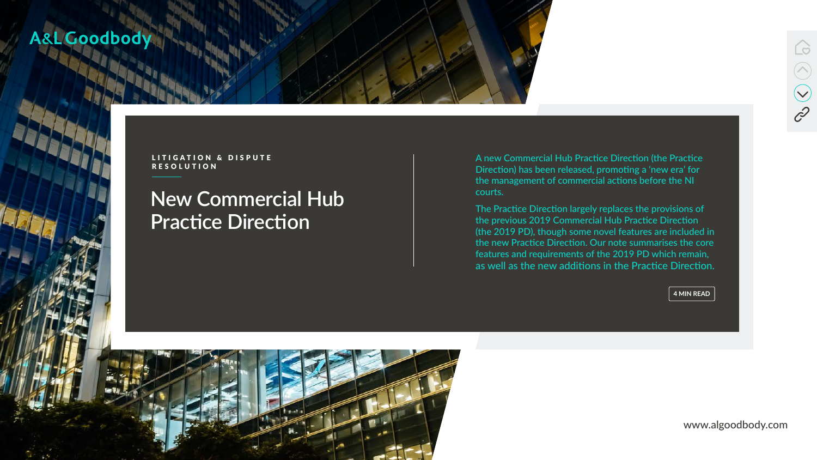[www.algoodbody.com](https://www.algoodbody.com/)



# **New Commercial Hub Practice Direction**



# A&L Goodbody

LITIGATION & DISPUTE RESOLUTION

A new Commercial Hub Practice Direction (the Practice Direction) has been released, promoting a 'new era' for the management of commercial actions before the NI courts.

The Practice Direction largely replaces the provisions of the previous 2019 Commercial Hub Practice Direction (the 2019 PD), though some novel features are included in the new Practice Direction. Our note summarises the core features and requirements of the 2019 PD which remain, as well as the new additions in the Practice Direction.

**4 MIN READ**

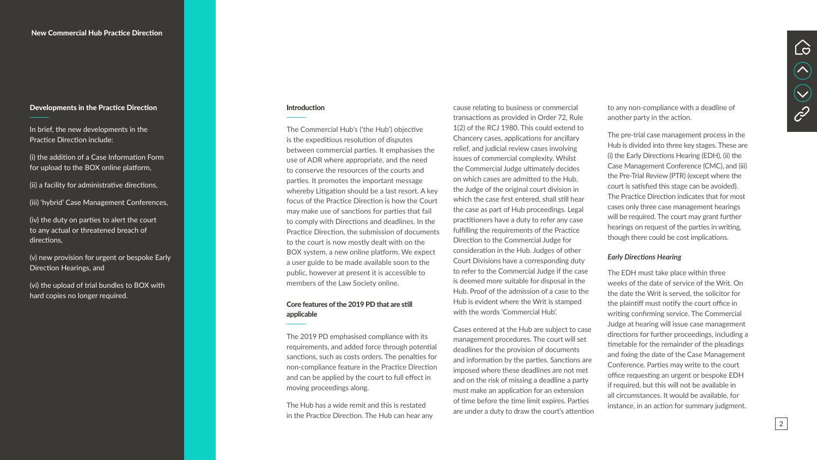cause relating to business or commercial transactions as provided in Order 72, Rule 1(2) of the RCJ 1980. This could extend to Chancery cases, applications for ancillary relief, and judicial review cases involving issues of commercial complexity. Whilst the Commercial Judge ultimately decides on which cases are admitted to the Hub, the Judge of the original court division in which the case first entered, shall still hear the case as part of Hub proceedings. Legal practitioners have a duty to refer any case fulfilling the requirements of the Practice Direction to the Commercial Judge for consideration in the Hub. Judges of other Court Divisions have a corresponding duty to refer to the Commercial Judge if the case is deemed more suitable for disposal in the Hub. Proof of the admission of a case to the Hub is evident where the Writ is stamped with the words 'Commercial Hub'.

Cases entered at the Hub are subject to case management procedures. The court will set deadlines for the provision of documents and information by the parties. Sanctions are imposed where these deadlines are not met and on the risk of missing a deadline a party must make an application for an extension of time before the time limit expires. Parties are under a duty to draw the court's attention to any non-compliance with a deadline of another party in the action.

The pre-trial case management process in the Hub is divided into three key stages. These are (i) the Early Directions Hearing (EDH), (ii) the Case Management Conference (CMC), and (iii) the Pre-Trial Review (PTR) (except where the court is satisfied this stage can be avoided). The Practice Direction indicates that for most cases only three case management hearings will be required. The court may grant further hearings on request of the parties in writing, though there could be cost implications.

#### *Early Directions Hearing*

The EDH must take place within three weeks of the date of service of the Writ. On the date the Writ is served, the solicitor for the plaintiff must notify the court office in writing confirming service. The Commercial Judge at hearing will issue case management directions for further proceedings, including a timetable for the remainder of the pleadings and fixing the date of the Case Management Conference. Parties may write to the court office requesting an urgent or bespoke EDH if required, but this will not be available in all circumstances. It would be available, for instance, in an action for summary judgment.



The Commercial Hub's ('the Hub') objective is the expeditious resolution of disputes between commercial parties. It emphasises the use of ADR where appropriate, and the need to conserve the resources of the courts and parties. It promotes the important message whereby Litigation should be a last resort. A key focus of the Practice Direction is how the Court may make use of sanctions for parties that fail to comply with Directions and deadlines. In the Practice Direction, the submission of documents to the court is now mostly dealt with on the BOX system, a new online platform. We expect a user guide to be made available soon to the public, however at present it is accessible to members of the Law Society online.

### Core features of the 2019 PD that are still applicable

The 2019 PD emphasised compliance with its requirements, and added force through potential sanctions, such as costs orders. The penalties for non-compliance feature in the Practice Direction and can be applied by the court to full effect in moving proceedings along.

The Hub has a wide remit and this is restated in the Practice Direction. The Hub can hear any

#### Developments in the Practice Direction

In brief, the new developments in the Practice Direction include:

(i) the addition of a Case Information Form for upload to the BOX online platform,

(ii) a facility for administrative directions,

(iii) 'hybrid' Case Management Conferences,

(iv) the duty on parties to alert the court to any actual or threatened breach of directions,

(v) new provision for urgent or bespoke Early Direction Hearings, and

(vi) the upload of trial bundles to BOX with hard copies no longer required.

#### **Introduction**

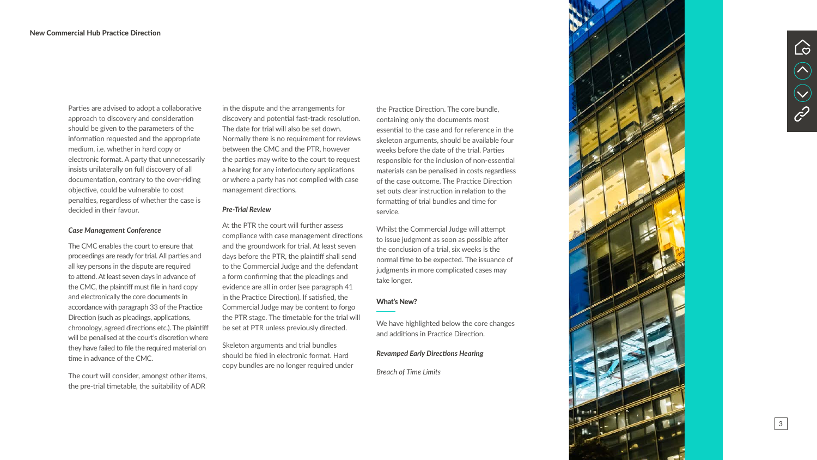Parties are advised to adopt a collaborative approach to discovery and consideration should be given to the parameters of the information requested and the appropriate medium, i.e. whether in hard copy or electronic format. A party that unnecessarily insists unilaterally on full discovery of all documentation, contrary to the over-riding objective, could be vulnerable to cost penalties, regardless of whether the case is decided in their favour.

#### *Case Management Conference*

The CMC enables the court to ensure that proceedings are ready for trial. All parties and all key persons in the dispute are required to attend. At least seven days in advance of the CMC, the plaintiff must file in hard copy and electronically the core documents in accordance with paragraph 33 of the Practice Direction (such as pleadings, applications, chronology, agreed directions etc.). The plaintiff will be penalised at the court's discretion where they have failed to file the required material on time in advance of the CMC.

The court will consider, amongst other items, the pre-trial timetable, the suitability of ADR

in the dispute and the arrangements for discovery and potential fast-track resolution. The date for trial will also be set down. Normally there is no requirement for reviews between the CMC and the PTR, however the parties may write to the court to request a hearing for any interlocutory applications or where a party has not complied with case management directions.

#### *Pre-Trial Review*

At the PTR the court will further assess compliance with case management directions and the groundwork for trial. At least seven days before the PTR, the plaintiff shall send to the Commercial Judge and the defendant a form confirming that the pleadings and evidence are all in order (see paragraph 41 in the Practice Direction). If satisfied, the Commercial Judge may be content to forgo the PTR stage. The timetable for the trial will be set at PTR unless previously directed.

Skeleton arguments and trial bundles should be filed in electronic format. Hard copy bundles are no longer required under

the Practice Direction. The core bundle, containing only the documents most essential to the case and for reference in the skeleton arguments, should be available four weeks before the date of the trial. Parties responsible for the inclusion of non-essential materials can be penalised in costs regardless of the case outcome. The Practice Direction set outs clear instruction in relation to the formatting of trial bundles and time for service.

Whilst the Commercial Judge will attempt to issue judgment as soon as possible after the conclusion of a trial, six weeks is the normal time to be expected. The issuance of judgments in more complicated cases may take longer.

### What's New?

We have highlighted below the core changes and additions in Practice Direction.

#### *Revamped Early Directions Hearing*

*Breach of Time Limits*





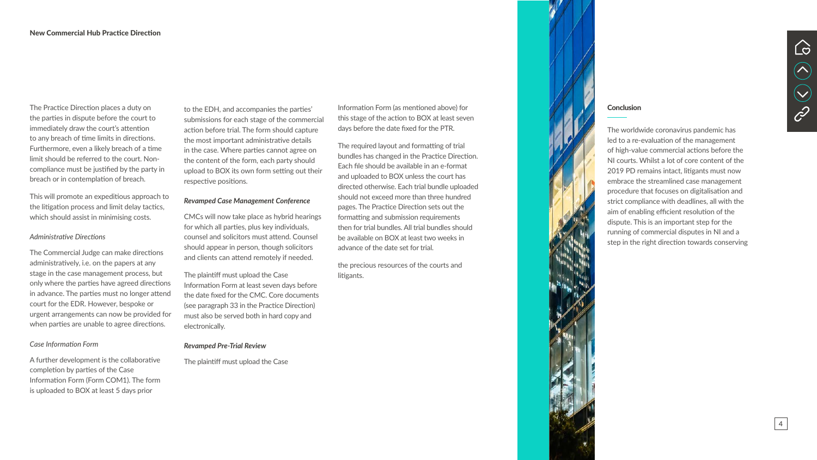The Practice Direction places a duty on the parties in dispute before the court to immediately draw the court's attention to any breach of time limits in directions. Furthermore, even a likely breach of a time limit should be referred to the court. Noncompliance must be justified by the party in breach or in contemplation of breach.

This will promote an expeditious approach to the litigation process and limit delay tactics, which should assist in minimising costs.

### *Administrative Directions*

The Commercial Judge can make directions administratively, i.e. on the papers at any stage in the case management process, but only where the parties have agreed directions in advance. The parties must no longer attend court for the EDR. However, bespoke or urgent arrangements can now be provided for when parties are unable to agree directions.

### *Case Information Form*

A further development is the collaborative completion by parties of the Case Information Form (Form COM1). The form is uploaded to BOX at least 5 days prior

to the EDH, and accompanies the parties' submissions for each stage of the commercial action before trial. The form should capture the most important administrative details in the case. Where parties cannot agree on the content of the form, each party should upload to BOX its own form setting out their respective positions.

#### *Revamped Case Management Conference*

CMCs will now take place as hybrid hearings for which all parties, plus key individuals, counsel and solicitors must attend. Counsel should appear in person, though solicitors and clients can attend remotely if needed.

The plaintiff must upload the Case Information Form at least seven days before the date fixed for the CMC. Core documents (see paragraph 33 in the Practice Direction) must also be served both in hard copy and electronically.

#### *Revamped Pre-Trial Review*

The plaintiff must upload the Case

Information Form (as mentioned above) for this stage of the action to BOX at least seven days before the date fixed for the PTR.

The required layout and formatting of trial bundles has changed in the Practice Direction. Each file should be available in an e-format and uploaded to BOX unless the court has directed otherwise. Each trial bundle uploaded should not exceed more than three hundred pages. The Practice Direction sets out the formatting and submission requirements then for trial bundles. All trial bundles should be available on BOX at least two weeks in advance of the date set for trial.

the precious resources of the courts and



#### **Conclusion**

litigants.

The worldwide coronavirus pandemic has led to a re-evaluation of the management of high-value commercial actions before the NI courts. Whilst a lot of core content of the 2019 PD remains intact, litigants must now embrace the streamlined case management procedure that focuses on digitalisation and strict compliance with deadlines, all with the aim of enabling efficient resolution of the dispute. This is an important step for the running of commercial disputes in NI and a step in the right direction towards conserving